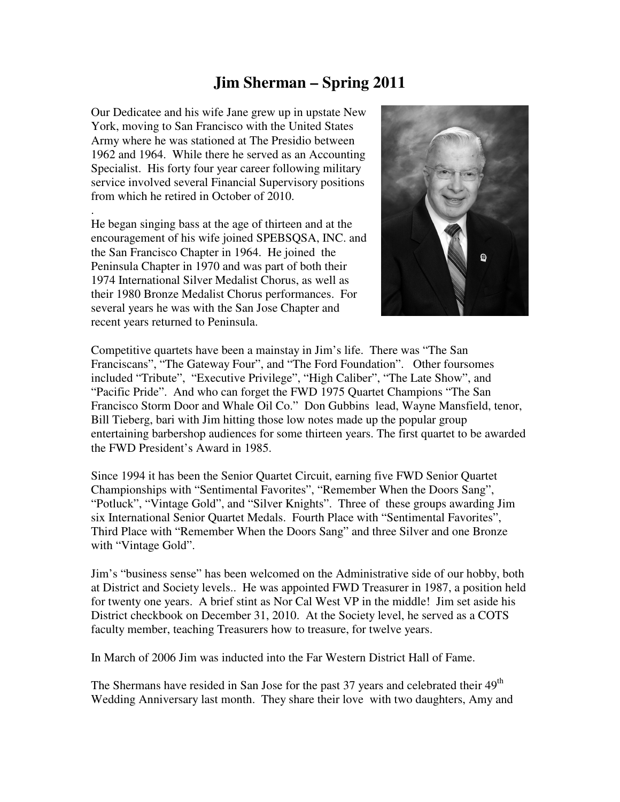## **Jim Sherman – Spring 2011**

Our Dedicatee and his wife Jane grew up in upstate New York, moving to San Francisco with the United States Army where he was stationed at The Presidio between 1962 and 1964. While there he served as an Accounting Specialist. His forty four year career following military service involved several Financial Supervisory positions from which he retired in October of 2010.

. He began singing bass at the age of thirteen and at the encouragement of his wife joined SPEBSQSA, INC. and the San Francisco Chapter in 1964. He joined the Peninsula Chapter in 1970 and was part of both their 1974 International Silver Medalist Chorus, as well as their 1980 Bronze Medalist Chorus performances. For several years he was with the San Jose Chapter and recent years returned to Peninsula.



Competitive quartets have been a mainstay in Jim's life. There was "The San Franciscans", "The Gateway Four", and "The Ford Foundation". Other foursomes included "Tribute", "Executive Privilege", "High Caliber", "The Late Show", and "Pacific Pride". And who can forget the FWD 1975 Quartet Champions "The San Francisco Storm Door and Whale Oil Co." Don Gubbins lead, Wayne Mansfield, tenor, Bill Tieberg, bari with Jim hitting those low notes made up the popular group entertaining barbershop audiences for some thirteen years. The first quartet to be awarded the FWD President's Award in 1985.

Since 1994 it has been the Senior Quartet Circuit, earning five FWD Senior Quartet Championships with "Sentimental Favorites", "Remember When the Doors Sang", "Potluck", "Vintage Gold", and "Silver Knights". Three of these groups awarding Jim six International Senior Quartet Medals. Fourth Place with "Sentimental Favorites", Third Place with "Remember When the Doors Sang" and three Silver and one Bronze with "Vintage Gold".

Jim's "business sense" has been welcomed on the Administrative side of our hobby, both at District and Society levels.. He was appointed FWD Treasurer in 1987, a position held for twenty one years. A brief stint as Nor Cal West VP in the middle! Jim set aside his District checkbook on December 31, 2010. At the Society level, he served as a COTS faculty member, teaching Treasurers how to treasure, for twelve years.

In March of 2006 Jim was inducted into the Far Western District Hall of Fame.

The Shermans have resided in San Jose for the past 37 years and celebrated their 49<sup>th</sup> Wedding Anniversary last month. They share their love with two daughters, Amy and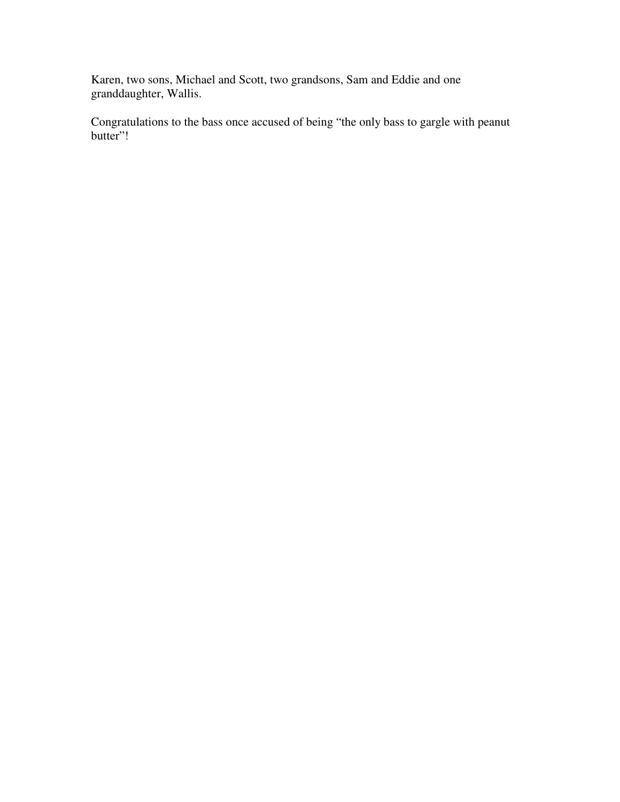Karen, two sons, Michael and Scott, two grandsons, Sam and Eddie and one granddaughter, Wallis.

Congratulations to the bass once accused of being "the only bass to gargle with peanut butter"!